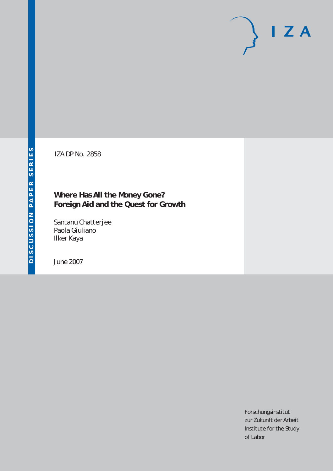# $I Z A$

IZA DP No. 2858

# **Where Has All the Money Gone? Foreign Aid and the Quest for Growth**

Santanu Chatterjee Paola Giuliano Ilker Kaya

June 2007

Forschungsinstitut zur Zukunft der Arbeit Institute for the Study of Labor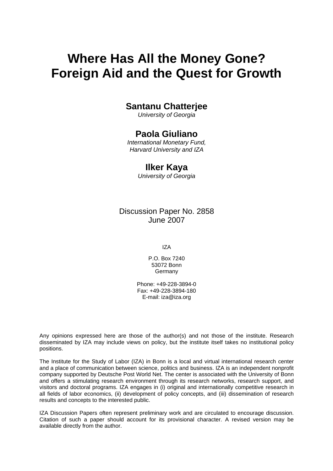# **Where Has All the Money Gone? Foreign Aid and the Quest for Growth**

# **Santanu Chatterjee**

*University of Georgia* 

### **Paola Giuliano**

*International Monetary Fund, Harvard University and IZA* 

### **Ilker Kaya**

*University of Georgia* 

Discussion Paper No. 2858 June 2007

IZA

P.O. Box 7240 53072 Bonn **Germany** 

Phone: +49-228-3894-0 Fax: +49-228-3894-180 E-mail: [iza@iza.org](mailto:iza@iza.org)

Any opinions expressed here are those of the author(s) and not those of the institute. Research disseminated by IZA may include views on policy, but the institute itself takes no institutional policy positions.

The Institute for the Study of Labor (IZA) in Bonn is a local and virtual international research center and a place of communication between science, politics and business. IZA is an independent nonprofit company supported by Deutsche Post World Net. The center is associated with the University of Bonn and offers a stimulating research environment through its research networks, research support, and visitors and doctoral programs. IZA engages in (i) original and internationally competitive research in all fields of labor economics, (ii) development of policy concepts, and (iii) dissemination of research results and concepts to the interested public.

IZA Discussion Papers often represent preliminary work and are circulated to encourage discussion. Citation of such a paper should account for its provisional character. A revised version may be available directly from the author.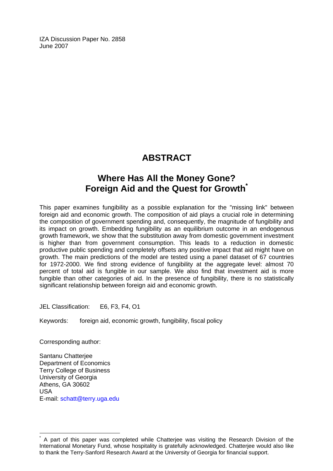IZA Discussion Paper No. 2858 June 2007

# **ABSTRACT**

# **Where Has All the Money Gone? Foreign Aid and the Quest for Growth[\\*](#page-2-0)**

This paper examines fungibility as a possible explanation for the "missing link" between foreign aid and economic growth. The composition of aid plays a crucial role in determining the composition of government spending and, consequently, the magnitude of fungibility and its impact on growth. Embedding fungibility as an equilibrium outcome in an endogenous growth framework, we show that the substitution away from domestic government investment is higher than from government consumption. This leads to a reduction in domestic productive public spending and completely offsets any positive impact that aid might have on growth. The main predictions of the model are tested using a panel dataset of 67 countries for 1972-2000. We find strong evidence of fungibility at the aggregate level: almost 70 percent of total aid is fungible in our sample. We also find that investment aid is more fungible than other categories of aid. In the presence of fungibility, there is no statistically significant relationship between foreign aid and economic growth.

JEL Classification: E6, F3, F4, O1

Keywords: foreign aid, economic growth, fungibility, fiscal policy

Corresponding author:

 $\overline{a}$ 

Santanu Chatterjee Department of Economics Terry College of Business University of Georgia Athens, GA 30602 USA E-mail: [schatt@terry.uga.edu](mailto:schatt@terry.uga.edu)

<span id="page-2-0"></span><sup>\*</sup> A part of this paper was completed while Chatterjee was visiting the Research Division of the International Monetary Fund, whose hospitality is gratefully acknowledged. Chatterjee would also like to thank the Terry-Sanford Research Award at the University of Georgia for financial support.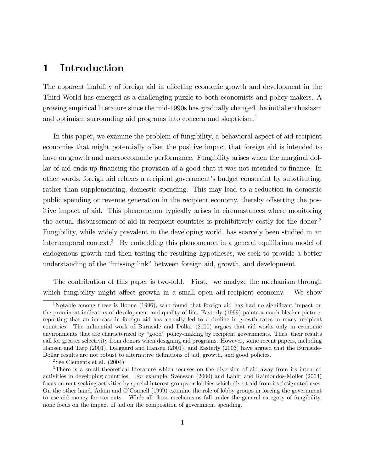# 1 Introduction

The apparent inability of foreign aid in affecting economic growth and development in the Third World has emerged as a challenging puzzle to both economists and policy-makers. A growing empirical literature since the mid-1990s has gradually changed the initial enthusiasm and optimism surrounding aid programs into concern and skepticism.<sup>1</sup>

In this paper, we examine the problem of fungibility, a behavioral aspect of aid-recipient economies that might potentially offset the positive impact that foreign aid is intended to have on growth and macroeconomic performance. Fungibility arises when the marginal dollar of aid ends up financing the provision of a good that it was not intended to finance. In other words, foreign aid relaxes a recipient governmentís budget constraint by substituting, rather than supplementing, domestic spending. This may lead to a reduction in domestic public spending or revenue generation in the recipient economy, thereby offsetting the positive impact of aid. This phenomenon typically arises in circumstances where monitoring the actual disbursement of aid in recipient countries is prohibitively costly for the donor.<sup>2</sup> Fungibility, while widely prevalent in the developing world, has scarcely been studied in an intertemporal context.<sup>3</sup> By embedding this phenomenon in a general equilibrium model of endogenous growth and then testing the resulting hypotheses, we seek to provide a better understanding of the "missing link" between foreign aid, growth, and development.

The contribution of this paper is two-fold. First, we analyze the mechanism through which fungibility might affect growth in a small open aid-recipient economy. We show

<sup>&</sup>lt;sup>1</sup>Notable among these is Boone (1996), who found that foreign aid has had no significant impact on the prominent indicators of development and quality of life. Easterly (1999) paints a much bleaker picture, reporting that an increase in foreign aid has actually led to a decline in growth rates in many recipient countries. The influential work of Burnside and Dollar (2000) argues that aid works only in economic environments that are characterized by "good" policy-making by recipient governments. Thus, their results call for greater selectivity from donors when designing aid programs. However, some recent papers, including Hansen and Tarp (2001), Dalgaard and Hansen (2001), and Easterly (2003) have argued that the Burnside-Dollar results are not robust to alternative definitions of aid, growth, and good policies.

<sup>&</sup>lt;sup>2</sup>See Clements et al.  $(2004)$ 

<sup>3</sup>There is a small theoretical literature which focuses on the diversion of aid away from its intended activities in developing countries. For example, Svensson (2000) and Lahiri and Raimondos-Moller (2004) focus on rent-seeking activities by special interest groups or lobbies which divert aid from its designated uses. On the other hand, Adam and OíConnell (1999) examine the role of lobby groups in forcing the government to use aid money for tax cuts. While all these mechanisms fall under the general category of fungibility, none focus on the impact of aid on the composition of government spending.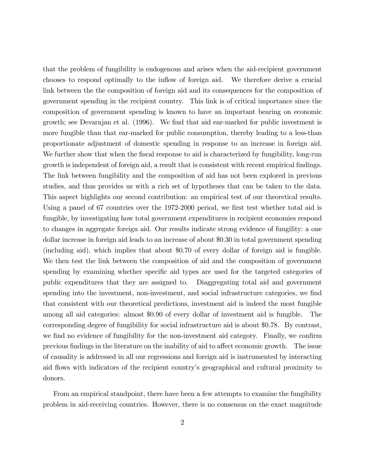that the problem of fungibility is endogenous and arises when the aid-recipient government chooses to respond optimally to the inflow of foreign aid. We therefore derive a crucial link between the the composition of foreign aid and its consequences for the composition of government spending in the recipient country. This link is of critical importance since the composition of government spending is known to have an important bearing on economic growth; see Devarajan et al. (1996). We find that aid ear-marked for public investment is more fungible than that ear-marked for public consumption, thereby leading to a less-than proportionate adjustment of domestic spending in response to an increase in foreign aid. We further show that when the fiscal response to aid is characterized by fungibility, long-run growth is independent of foreign aid, a result that is consistent with recent empirical findings. The link between fungibility and the composition of aid has not been explored in previous studies, and thus provides us with a rich set of hypotheses that can be taken to the data. This aspect highlights our second contribution: an empirical test of our theoretical results. Using a panel of 67 countries over the 1972-2000 period, we first test whether total aid is fungible, by investigating how total government expenditures in recipient economies respond to changes in aggregate foreign aid. Our results indicate strong evidence of fungility: a one dollar increase in foreign aid leads to an increase of about \$0.30 in total government spending (including aid), which implies that about \$0.70 of every dollar of foreign aid is fungible. We then test the link between the composition of aid and the composition of government spending by examining whether specific aid types are used for the targeted categories of public expenditures that they are assigned to. Diaggregating total aid and government spending into the investment, non-investment, and social infrastructure categories, we find that consistent with our theoretical predictions, investment aid is indeed the most fungible among all aid categories: almost \$0.90 of every dollar of investment aid is fungible. The corresponding degree of fungibility for social infrastructure aid is about \$0.78. By contrast, we find no evidence of fungibility for the non-investment aid category. Finally, we confirm previous findings in the literature on the inability of aid to affect economic growth. The issue of causality is addressed in all our regressions and foreign aid is instrumented by interacting aid flows with indicators of the recipient country's geographical and cultural proximity to donors.

From an empirical standpoint, there have been a few attempts to examine the fungibility problem in aid-receiving countries. However, there is no consensus on the exact magnitude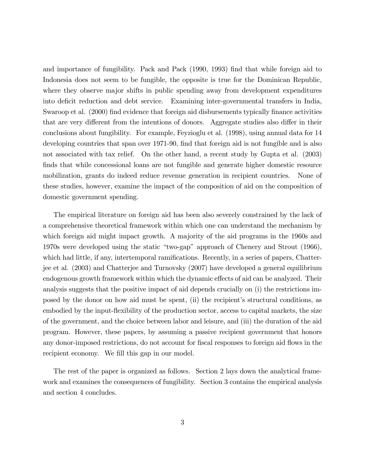and importance of fungibility. Pack and Pack (1990, 1993) Önd that while foreign aid to Indonesia does not seem to be fungible, the opposite is true for the Dominican Republic, where they observe major shifts in public spending away from development expenditures into deficit reduction and debt service. Examining inter-governmental transfers in India, Swaroop et al. (2000) find evidence that foreign aid disbursements typically finance activities that are very different from the intentions of donors. Aggregate studies also differ in their conclusions about fungibility. For example, Feyzioglu et al. (1998), using annual data for 14 developing countries that span over 1971-90, find that foreign aid is not fungible and is also not associated with tax relief. On the other hand, a recent study by Gupta et al. (2003) finds that while concessional loans are not fungible and generate higher domestic resource mobilization, grants do indeed reduce revenue generation in recipient countries. None of these studies, however, examine the impact of the composition of aid on the composition of domestic government spending.

The empirical literature on foreign aid has been also severely constrained by the lack of a comprehensive theoretical framework within which one can understand the mechanism by which foreign aid might impact growth. A majority of the aid programs in the 1960s and 1970s were developed using the static "two-gap" approach of Chenery and Strout  $(1966)$ , which had little, if any, intertemporal ramifications. Recently, in a series of papers, Chatterjee et al. (2003) and Chatterjee and Turnovsky (2007) have developed a general equilibrium endogenous growth framework within which the dynamic effects of aid can be analyzed. Their analysis suggests that the positive impact of aid depends crucially on (i) the restrictions imposed by the donor on how aid must be spent, (ii) the recipient's structural conditions, as embodied by the input-flexibility of the production sector, access to capital markets, the size of the government, and the choice between labor and leisure, and (iii) the duration of the aid program. However, these papers, by assuming a passive recipient government that honors any donor-imposed restrictions, do not account for fiscal responses to foreign aid flows in the recipient economy. We fill this gap in our model.

The rest of the paper is organized as follows. Section 2 lays down the analytical framework and examines the consequences of fungibility. Section 3 contains the empirical analysis and section 4 concludes.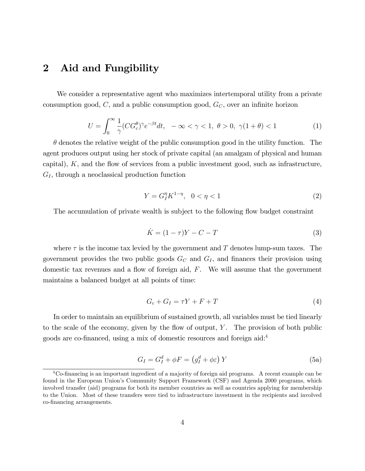# 2 Aid and Fungibility

We consider a representative agent who maximizes intertemporal utility from a private consumption good,  $C$ , and a public consumption good,  $G_C$ , over an infinite horizon

$$
U = \int_0^\infty \frac{1}{\gamma} (CG_c^{\theta})^{\gamma} e^{-\beta t} dt, \quad -\infty < \gamma < 1, \ \theta > 0, \ \gamma(1 + \theta) < 1 \tag{1}
$$

 $\theta$  denotes the relative weight of the public consumption good in the utility function. The agent produces output using her stock of private capital (an amalgam of physical and human capital),  $K$ , and the flow of services from a public investment good, such as infrastructure,  $G_I$ , through a neoclassical production function

$$
Y = G_I^{\eta} K^{1-\eta}, \ \ 0 < \eta < 1 \tag{2}
$$

The accumulation of private wealth is subject to the following flow budget constraint

$$
\dot{K} = (1 - \tau)Y - C - T\tag{3}
$$

where  $\tau$  is the income tax levied by the government and T denotes lump-sum taxes. The government provides the two public goods  $G_C$  and  $G_I$ , and finances their provision using domestic tax revenues and a flow of foreign aid,  $F$ . We will assume that the government maintains a balanced budget at all points of time:

$$
G_c + G_I = \tau Y + F + T \tag{4}
$$

In order to maintain an equilibrium of sustained growth, all variables must be tied linearly to the scale of the economy, given by the flow of output,  $Y$ . The provision of both public goods are co-financed, using a mix of domestic resources and foreign aid:<sup>4</sup>

$$
G_I = G_I^d + \phi F = \left(g_I^d + \phi \varepsilon\right) Y \tag{5a}
$$

<sup>&</sup>lt;sup>4</sup>Co-financing is an important ingredient of a majority of foreign aid programs. A recent example can be found in the European Unionís Community Support Framework (CSF) and Agenda 2000 programs, which involved transfer (aid) programs for both its member countries as well as countries applying for membership to the Union. Most of these transfers were tied to infrastructure investment in the recipients and involved co-Önancing arrangements.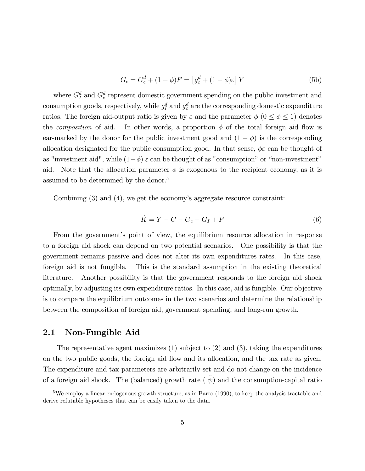$$
G_c = G_c^d + (1 - \phi)F = \left[g_c^d + (1 - \phi)\varepsilon\right]Y\tag{5b}
$$

where  $G_I^d$  and  $G_c^d$  represent domestic government spending on the public investment and consumption goods, respectively, while  $g_I^d$  and  $g_c^d$  are the corresponding domestic expenditure ratios. The foreign aid-output ratio is given by  $\varepsilon$  and the parameter  $\phi$  ( $0 \le \phi \le 1$ ) denotes the *composition* of aid. In other words, a proportion  $\phi$  of the total foreign aid flow is ear-marked by the donor for the public investment good and  $(1 - \phi)$  is the corresponding allocation designated for the public consumption good. In that sense,  $\phi \varepsilon$  can be thought of as "investment aid", while  $(1-\phi)$   $\varepsilon$  can be thought of as "consumption" or "non-investment" aid. Note that the allocation parameter  $\phi$  is exogenous to the recipient economy, as it is assumed to be determined by the donor.<sup>5</sup>

Combining  $(3)$  and  $(4)$ , we get the economy's aggregate resource constraint:

$$
\dot{K} = Y - C - G_c - G_I + F \tag{6}
$$

From the government's point of view, the equilibrium resource allocation in response to a foreign aid shock can depend on two potential scenarios. One possibility is that the government remains passive and does not alter its own expenditures rates. In this case, foreign aid is not fungible. This is the standard assumption in the existing theoretical literature. Another possibility is that the government responds to the foreign aid shock optimally, by adjusting its own expenditure ratios. In this case, aid is fungible. Our objective is to compare the equilibrium outcomes in the two scenarios and determine the relationship between the composition of foreign aid, government spending, and long-run growth.

### 2.1 Non-Fungible Aid

The representative agent maximizes  $(1)$  subject to  $(2)$  and  $(3)$ , taking the expenditures on the two public goods, the foreign aid flow and its allocation, and the tax rate as given. The expenditure and tax parameters are arbitrarily set and do not change on the incidence of a foreign aid shock. The (balanced) growth rate ( $\tilde{\psi}$ ) and the consumption-capital ratio

<sup>5</sup>We employ a linear endogenous growth structure, as in Barro (1990), to keep the analysis tractable and derive refutable hypotheses that can be easily taken to the data.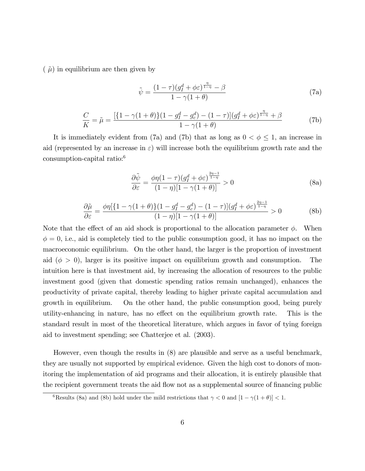$(\tilde{\mu})$  in equilibrium are then given by

$$
\tilde{\psi} = \frac{(1-\tau)(g_I^d + \phi \varepsilon)^{\frac{\eta}{1-\eta}} - \beta}{1 - \gamma(1+\theta)}
$$
\n(7a)

$$
\frac{C}{K} = \tilde{\mu} = \frac{[\{1 - \gamma(1 + \theta)\}(1 - g_I^d - g_c^d) - (1 - \tau)](g_I^d + \phi \varepsilon)^{\frac{\eta}{1 - \eta}} + \beta}{1 - \gamma(1 + \theta)}
$$
(7b)

It is immediately evident from (7a) and (7b) that as long as  $0 < \phi \leq 1$ , an increase in aid (represented by an increase in  $\varepsilon$ ) will increase both the equilibrium growth rate and the consumption-capital ratio:<sup>6</sup>

$$
\frac{\partial \tilde{\psi}}{\partial \varepsilon} = \frac{\phi \eta (1 - \tau) (g_I^d + \phi \varepsilon)^{\frac{2\eta - 1}{1 - \eta}}}{(1 - \eta) [1 - \gamma (1 + \theta)]} > 0
$$
\n(8a)

$$
\frac{\partial \tilde{\mu}}{\partial \varepsilon} = \frac{\phi \eta [\{1 - \gamma (1 + \theta)\} (1 - g_I^d - g_c^d) - (1 - \tau)] (g_I^d + \phi \varepsilon)^{\frac{2\eta - 1}{1 - \eta}}}{(1 - \eta) [1 - \gamma (1 + \theta)]} > 0
$$
(8b)

Note that the effect of an aid shock is proportional to the allocation parameter  $\phi$ . When  $\phi = 0$ , i.e., aid is completely tied to the public consumption good, it has no impact on the macroeconomic equilibrium. On the other hand, the larger is the proportion of investment aid ( $\phi > 0$ ), larger is its positive impact on equilibrium growth and consumption. The intuition here is that investment aid, by increasing the allocation of resources to the public investment good (given that domestic spending ratios remain unchanged), enhances the productivity of private capital, thereby leading to higher private capital accumulation and growth in equilibrium. On the other hand, the public consumption good, being purely utility-enhancing in nature, has no effect on the equilibrium growth rate. This is the standard result in most of the theoretical literature, which argues in favor of tying foreign aid to investment spending; see Chatterjee et al. (2003).

However, even though the results in (8) are plausible and serve as a useful benchmark, they are usually not supported by empirical evidence. Given the high cost to donors of monitoring the implementation of aid programs and their allocation, it is entirely plausible that the recipient government treats the aid flow not as a supplemental source of financing public

<sup>&</sup>lt;sup>6</sup>Results (8a) and (8b) hold under the mild restrictions that  $\gamma < 0$  and  $[1 - \gamma(1 + \theta)] < 1$ .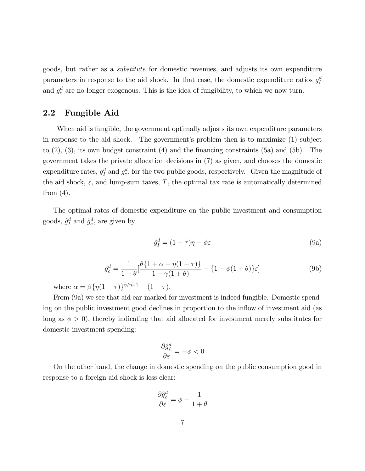goods, but rather as a substitute for domestic revenues, and adjusts its own expenditure parameters in response to the aid shock. In that case, the domestic expenditure ratios  $g_I^d$ and  $g_c^d$  are no longer exogenous. This is the idea of fungibility, to which we now turn.

### 2.2 Fungible Aid

When aid is fungible, the government optimally adjusts its own expenditure parameters in response to the aid shock. The government's problem then is to maximize  $(1)$  subject to  $(2)$ ,  $(3)$ , its own budget constraint  $(4)$  and the financing constraints (5a) and (5b). The government takes the private allocation decisions in (7) as given, and chooses the domestic expenditure rates,  $g_I^d$  and  $g_c^d$ , for the two public goods, respectively. Given the magnitude of the aid shock,  $\varepsilon$ , and lump-sum taxes, T, the optimal tax rate is automatically determined from  $(4)$ .

The optimal rates of domestic expenditure on the public investment and consumption goods,  $\hat{g}_I^d$  and  $\hat{g}_c^d$ , are given by

$$
\hat{g}_I^d = (1 - \tau)\eta - \phi \varepsilon \tag{9a}
$$

$$
\hat{g}_c^d = \frac{1}{1+\theta} \left[ \frac{\theta \{ 1+\alpha - \eta(1-\tau) \}}{1-\gamma(1+\theta)} - \{ 1-\phi(1+\theta) \} \varepsilon \right] \tag{9b}
$$

where  $\alpha = \beta \{ \eta (1 - \tau) \}^{\eta / \eta - 1} - (1 - \tau)$ .

From (9a) we see that aid ear-marked for investment is indeed fungible. Domestic spending on the public investment good declines in proportion to the inflow of investment aid (as long as  $\phi > 0$ , thereby indicating that aid allocated for investment merely substitutes for domestic investment spending:

$$
\frac{\partial \hat{g}_I^d}{\partial \varepsilon} = -\phi < 0
$$

On the other hand, the change in domestic spending on the public consumption good in response to a foreign aid shock is less clear:

$$
\frac{\partial \hat{g}_c^d}{\partial \varepsilon} = \phi - \frac{1}{1+\theta}
$$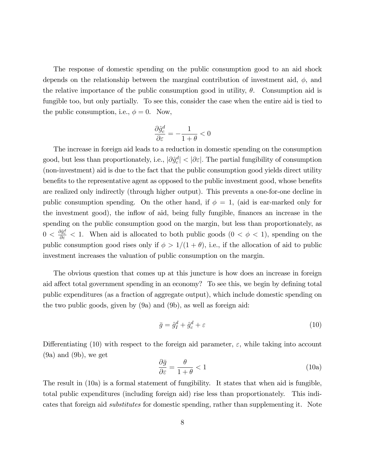The response of domestic spending on the public consumption good to an aid shock depends on the relationship between the marginal contribution of investment aid,  $\phi$ , and the relative importance of the public consumption good in utility,  $\theta$ . Consumption aid is fungible too, but only partially. To see this, consider the case when the entire aid is tied to the public consumption, i.e.,  $\phi = 0$ . Now,

$$
\frac{\partial \hat{g}_c^d}{\partial \varepsilon} = -\frac{1}{1+\theta} < 0
$$

The increase in foreign aid leads to a reduction in domestic spending on the consumption good, but less than proportionately, i.e.,  $|\partial \hat{g}_c^d| < |\partial \varepsilon|$ . The partial fungibility of consumption (non-investment) aid is due to the fact that the public consumption good yields direct utility benefits to the representative agent as opposed to the public investment good, whose benefits are realized only indirectly (through higher output). This prevents a one-for-one decline in public consumption spending. On the other hand, if  $\phi = 1$ , (aid is ear-marked only for the investment good), the inflow of aid, being fully fungible, finances an increase in the spending on the public consumption good on the margin, but less than proportionately, as  $0 < \frac{\partial \hat{g}_c^d}{\partial \varepsilon} < 1$ . When aid is allocated to both public goods  $(0 < \phi < 1)$ , spending on the public consumption good rises only if  $\phi > 1/(1 + \theta)$ , i.e., if the allocation of aid to public investment increases the valuation of public consumption on the margin.

The obvious question that comes up at this juncture is how does an increase in foreign aid affect total government spending in an economy? To see this, we begin by defining total public expenditures (as a fraction of aggregate output), which include domestic spending on the two public goods, given by (9a) and (9b), as well as foreign aid:

$$
\bar{g} = \hat{g}_I^d + \hat{g}_c^d + \varepsilon \tag{10}
$$

Differentiating (10) with respect to the foreign aid parameter,  $\varepsilon$ , while taking into account (9a) and (9b), we get

$$
\frac{\partial \bar{g}}{\partial \varepsilon} = \frac{\theta}{1 + \theta} < 1 \tag{10a}
$$

The result in (10a) is a formal statement of fungibility. It states that when aid is fungible, total public expenditures (including foreign aid) rise less than proportionately. This indicates that foreign aid substitutes for domestic spending, rather than supplementing it. Note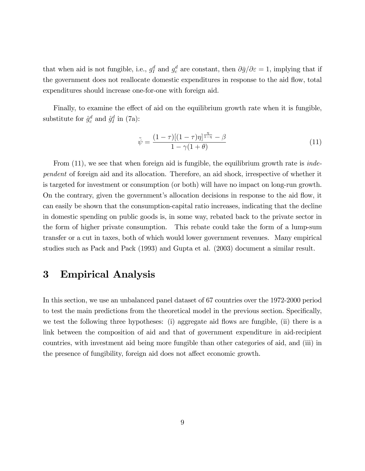that when aid is not fungible, i.e.,  $g_I^d$  and  $g_c^d$  are constant, then  $\partial \bar{g}/\partial \varepsilon = 1$ , implying that if the government does not reallocate domestic expenditures in response to the aid flow, total expenditures should increase one-for-one with foreign aid.

Finally, to examine the effect of aid on the equilibrium growth rate when it is fungible, substitute for  $\hat{g}_c^d$  and  $\hat{g}_I^d$  in (7a):

$$
\tilde{\psi} = \frac{(1 - \tau)[(1 - \tau)\eta]^{\frac{\eta}{1 - \eta}} - \beta}{1 - \gamma(1 + \theta)}
$$
\n(11)

From  $(11)$ , we see that when foreign aid is fungible, the equilibrium growth rate is *inde*pendent of foreign aid and its allocation. Therefore, an aid shock, irrespective of whether it is targeted for investment or consumption (or both) will have no impact on long-run growth. On the contrary, given the government's allocation decisions in response to the aid flow, it can easily be shown that the consumption-capital ratio increases, indicating that the decline in domestic spending on public goods is, in some way, rebated back to the private sector in the form of higher private consumption. This rebate could take the form of a lump-sum transfer or a cut in taxes, both of which would lower government revenues. Many empirical studies such as Pack and Pack (1993) and Gupta et al. (2003) document a similar result.

### 3 Empirical Analysis

In this section, we use an unbalanced panel dataset of 67 countries over the 1972-2000 period to test the main predictions from the theoretical model in the previous section. Specifically, we test the following three hypotheses: (i) aggregate aid flows are fungible, (ii) there is a link between the composition of aid and that of government expenditure in aid-recipient countries, with investment aid being more fungible than other categories of aid, and (iii) in the presence of fungibility, foreign aid does not affect economic growth.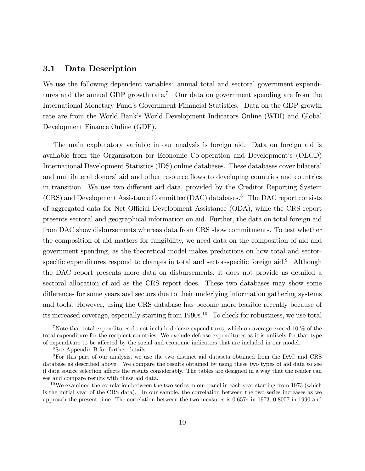### 3.1 Data Description

We use the following dependent variables: annual total and sectoral government expenditures and the annual GDP growth rate.<sup>7</sup> Our data on government spending are from the International Monetary Fund's Government Financial Statistics. Data on the GDP growth rate are from the World Bankís World Development Indicators Online (WDI) and Global Development Finance Online (GDF).

The main explanatory variable in our analysis is foreign aid. Data on foreign aid is available from the Organisation for Economic Co-operation and Development's (OECD) International Development Statistics (IDS) online databases. These databases cover bilateral and multilateral donors' aid and other resource flows to developing countries and countries in transition. We use two different aid data, provided by the Creditor Reporting System (CRS) and Development Assistance Committee (DAC) databases.<sup>8</sup> The DAC report consists of aggregated data for Net Official Development Assistance (ODA), while the CRS report presents sectoral and geographical information on aid. Further, the data on total foreign aid from DAC show disbursements whereas data from CRS show commitments. To test whether the composition of aid matters for fungibility, we need data on the composition of aid and government spending, as the theoretical model makes predictions on how total and sectorspecific expenditures respond to changes in total and sector-specific foreign aid.<sup>9</sup> Although the DAC report presents more data on disbursements, it does not provide as detailed a sectoral allocation of aid as the CRS report does. These two databases may show some differences for some years and sectors due to their underlying information gathering systems and tools. However, using the CRS database has become more feasible recently because of its increased coverage, especially starting from 1990s.<sup>10</sup> To check for robustness, we use total

<sup>7</sup>Note that total expenditures do not include defense expenditures, which on average exceed 10 % of the total expenditure for the recipient countries. We exclude defense expenditures as it is unlikely for that type of expenditure to be affected by the social and economic indicators that are included in our model.

<sup>8</sup>See Appendix B for further details.

<sup>9</sup>For this part of our analysis, we use the two distinct aid datasets obtained from the DAC and CRS database as described above. We compare the results obtained by using these two types of aid data to see if data source selection affects the results considerably. The tables are designed in a way that the reader can see and compare results with these aid data.

 $10$ We examined the correlation between the two series in our panel in each year starting from 1973 (which is the initial year of the CRS data). In our sample, the correlation between the two series increases as we approach the present time. The correlation between the two measures is 0.6574 in 1973, 0.8057 in 1990 and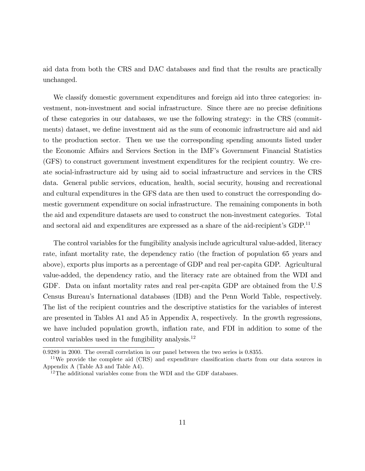aid data from both the CRS and DAC databases and find that the results are practically unchanged.

We classify domestic government expenditures and foreign aid into three categories: investment, non-investment and social infrastructure. Since there are no precise definitions of these categories in our databases, we use the following strategy: in the CRS (commitments) dataset, we define investment aid as the sum of economic infrastructure aid and aid to the production sector. Then we use the corresponding spending amounts listed under the Economic Affairs and Services Section in the IMF's Government Financial Statistics (GFS) to construct government investment expenditures for the recipient country. We create social-infrastructure aid by using aid to social infrastructure and services in the CRS data. General public services, education, health, social security, housing and recreational and cultural expenditures in the GFS data are then used to construct the corresponding domestic government expenditure on social infrastructure. The remaining components in both the aid and expenditure datasets are used to construct the non-investment categories. Total and sectoral aid and expenditures are expressed as a share of the aid-recipient's  $GDP<sup>11</sup>$ 

The control variables for the fungibility analysis include agricultural value-added, literacy rate, infant mortality rate, the dependency ratio (the fraction of population 65 years and above), exports plus imports as a percentage of GDP and real per-capita GDP. Agricultural value-added, the dependency ratio, and the literacy rate are obtained from the WDI and GDF. Data on infant mortality rates and real per-capita GDP are obtained from the U.S Census Bureauís International databases (IDB) and the Penn World Table, respectively. The list of the recipient countries and the descriptive statistics for the variables of interest are presented in Tables A1 and A5 in Appendix A, respectively. In the growth regressions, we have included population growth, inflation rate, and FDI in addition to some of the control variables used in the fungibility analysis.<sup>12</sup>

<sup>0.9289</sup> in 2000. The overall correlation in our panel between the two series is 0.8355.

 $11$ We provide the complete aid (CRS) and expenditure classification charts from our data sources in Appendix A (Table A3 and Table A4).

 $^{12}$ The additional variables come from the WDI and the GDF databases.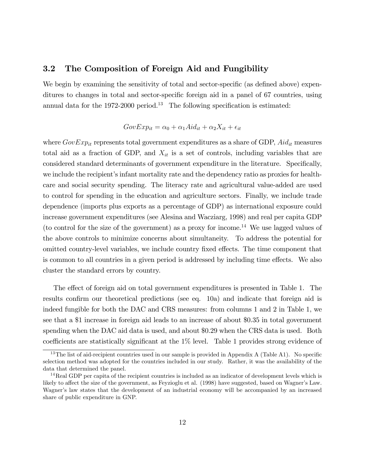### 3.2 The Composition of Foreign Aid and Fungibility

We begin by examining the sensitivity of total and sector-specific (as defined above) expenditures to changes in total and sector-specific foreign aid in a panel of 67 countries, using annual data for the 1972-2000 period.<sup>13</sup> The following specification is estimated:

### $GovExp_{it} = \alpha_0 + \alpha_1 Aid_{it} + \alpha_2 X_{it} + \epsilon_{it}$

where  $GovExp_{it}$  represents total government expenditures as a share of GDP,  $Adj_{it}$  measures total aid as a fraction of GDP, and  $X_{it}$  is a set of controls, including variables that are considered standard determinants of government expenditure in the literature. Specifically, we include the recipient's infant mortality rate and the dependency ratio as proxies for healthcare and social security spending. The literacy rate and agricultural value-added are used to control for spending in the education and agriculture sectors. Finally, we include trade dependence (imports plus exports as a percentage of GDP) as international exposure could increase government expenditures (see Alesina and Wacziarg, 1998) and real per capita GDP (to control for the size of the government) as a proxy for income.<sup>14</sup> We use lagged values of the above controls to minimize concerns about simultaneity. To address the potential for omitted country-level variables, we include country fixed effects. The time component that is common to all countries in a given period is addressed by including time effects. We also cluster the standard errors by country.

The effect of foreign aid on total government expenditures is presented in Table 1. The results confirm our theoretical predictions (see eq. 10a) and indicate that foreign aid is indeed fungible for both the DAC and CRS measures: from columns 1 and 2 in Table 1, we see that a \$1 increase in foreign aid leads to an increase of about \$0.35 in total government spending when the DAC aid data is used, and about \$0.29 when the CRS data is used. Both coefficients are statistically significant at the  $1\%$  level. Table 1 provides strong evidence of

<sup>&</sup>lt;sup>13</sup>The list of aid-recipient countries used in our sample is provided in Appendix A (Table A1). No specific selection method was adopted for the countries included in our study. Rather, it was the availability of the data that determined the panel.

 $14$ Real GDP per capita of the recipient countries is included as an indicator of development levels which is likely to affect the size of the government, as Feyzioglu et al. (1998) have suggested, based on Wagner's Law. Wagner's law states that the development of an industrial economy will be accompanied by an increased share of public expenditure in GNP.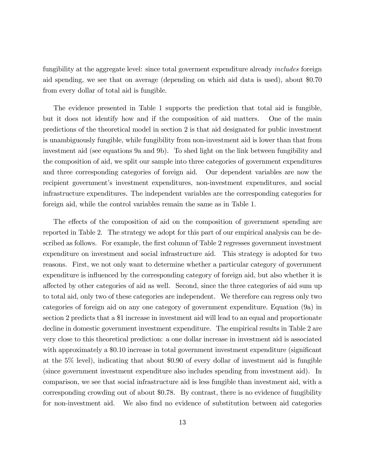fungibility at the aggregate level: since total government expenditure already *includes* foreign aid spending, we see that on average (depending on which aid data is used), about \$0.70 from every dollar of total aid is fungible.

The evidence presented in Table 1 supports the prediction that total aid is fungible, but it does not identify how and if the composition of aid matters. One of the main predictions of the theoretical model in section 2 is that aid designated for public investment is unambiguously fungible, while fungibility from non-investment aid is lower than that from investment aid (see equations 9a and 9b). To shed light on the link between fungibility and the composition of aid, we split our sample into three categories of government expenditures and three corresponding categories of foreign aid. Our dependent variables are now the recipient government's investment expenditures, non-investment expenditures, and social infrastructure expenditures. The independent variables are the corresponding categories for foreign aid, while the control variables remain the same as in Table 1.

The effects of the composition of aid on the composition of government spending are reported in Table 2. The strategy we adopt for this part of our empirical analysis can be described as follows. For example, the first column of Table 2 regresses government investment expenditure on investment and social infrastructure aid. This strategy is adopted for two reasons. First, we not only want to determine whether a particular category of government expenditure is influenced by the corresponding category of foreign aid, but also whether it is affected by other categories of aid as well. Second, since the three categories of aid sum up to total aid, only two of these categories are independent. We therefore can regress only two categories of foreign aid on any one category of government expenditure. Equation (9a) in section 2 predicts that a \$1 increase in investment aid will lead to an equal and proportionate decline in domestic government investment expenditure. The empirical results in Table 2 are very close to this theoretical prediction: a one dollar increase in investment aid is associated with approximately a \$0.10 increase in total government investment expenditure (significant at the 5% level), indicating that about \$0.90 of every dollar of investment aid is fungible (since government investment expenditure also includes spending from investment aid). In comparison, we see that social infrastructure aid is less fungible than investment aid, with a corresponding crowding out of about \$0.78. By contrast, there is no evidence of fungibility for non-investment aid. We also find no evidence of substitution between aid categories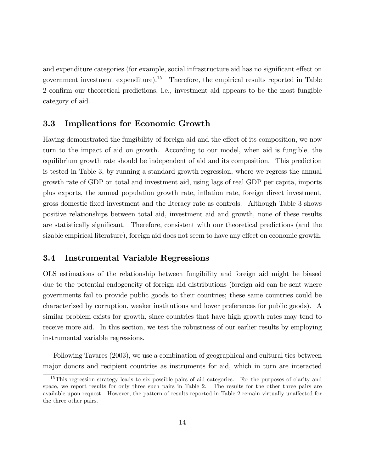and expenditure categories (for example, social infrastructure aid has no significant effect on government investment expenditure).<sup>15</sup> Therefore, the empirical results reported in Table 2 confirm our theoretical predictions, i.e., investment aid appears to be the most fungible category of aid.

### 3.3 Implications for Economic Growth

Having demonstrated the fungibility of foreign aid and the effect of its composition, we now turn to the impact of aid on growth. According to our model, when aid is fungible, the equilibrium growth rate should be independent of aid and its composition. This prediction is tested in Table 3, by running a standard growth regression, where we regress the annual growth rate of GDP on total and investment aid, using lags of real GDP per capita, imports plus exports, the annual population growth rate, ináation rate, foreign direct investment, gross domestic Öxed investment and the literacy rate as controls. Although Table 3 shows positive relationships between total aid, investment aid and growth, none of these results are statistically significant. Therefore, consistent with our theoretical predictions (and the sizable empirical literature), foreign aid does not seem to have any effect on economic growth.

### 3.4 Instrumental Variable Regressions

OLS estimations of the relationship between fungibility and foreign aid might be biased due to the potential endogeneity of foreign aid distributions (foreign aid can be sent where governments fail to provide public goods to their countries; these same countries could be characterized by corruption, weaker institutions and lower preferences for public goods). A similar problem exists for growth, since countries that have high growth rates may tend to receive more aid. In this section, we test the robustness of our earlier results by employing instrumental variable regressions.

Following Tavares (2003), we use a combination of geographical and cultural ties between major donors and recipient countries as instruments for aid, which in turn are interacted

<sup>&</sup>lt;sup>15</sup>This regression strategy leads to six possible pairs of aid categories. For the purposes of clarity and space, we report results for only three such pairs in Table 2. The results for the other three pairs are available upon request. However, the pattern of results reported in Table 2 remain virtually unaffected for the three other pairs.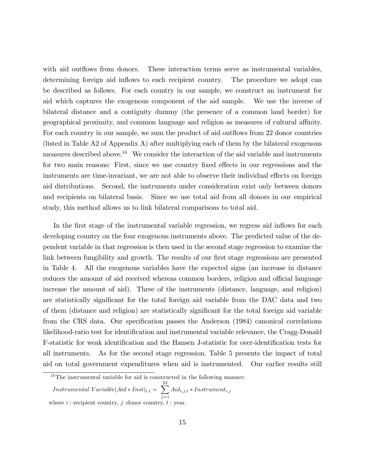with aid outflows from donors. These interaction terms serve as instrumental variables, determining foreign aid inflows to each recipient country. The procedure we adopt can be described as follows. For each country in our sample, we construct an instrument for aid which captures the exogenous component of the aid sample. We use the inverse of bilateral distance and a contiguity dummy (the presence of a common land border) for geographical proximity, and common language and religion as measures of cultural affinity. For each country in our sample, we sum the product of aid outflows from 22 donor countries (listed in Table A2 of Appendix A) after multiplying each of them by the bilateral exogenous measures described above.<sup>16</sup> We consider the interaction of the aid variable and instruments for two main reasons: First, since we use country fixed effects in our regressions and the instruments are time-invariant, we are not able to observe their individual effects on foreign aid distributions. Second, the instruments under consideration exist only between donors and recipients on bilateral basis. Since we use total aid from all donors in our empirical study, this method allows us to link bilateral comparisons to total aid.

In the first stage of the instrumental variable regression, we regress aid inflows for each developing country on the four exogenous instruments above. The predicted value of the dependent variable in that regression is then used in the second stage regression to examine the link between fungibility and growth. The results of our first stage regressions are presented in Table 4. All the exogenous variables have the expected signs (an increase in distance reduces the amount of aid received whereas common borders, religion and official language increase the amount of aid). Three of the instruments (distance, language, and religion) are statistically significant for the total foreign aid variable from the DAC data and two of them (distance and religion) are statistically significant for the total foreign aid variable from the CRS data. Our specification passes the Anderson (1984) canonical correlations likelihood-ratio test for identification and instrumental variable relevance, the Cragg-Donald F-statistic for weak identification and the Hansen J-statistic for over-identification tests for all instruments. As for the second stage regression, Table 5 presents the impact of total aid on total government expenditures when aid is instrumented. Our earlier results still

 $16$ The instrumental variable for aid is constructed in the following manner:

 $Instrumental\ Variable(Aid*Inst)_{i,t} = \sum^{22}$  $\sum_{j=1} Aid_{i,j,t} * Instrument_{i,j}$ where  $i$ : recipient country,  $j$ : donor country,  $t$ : year.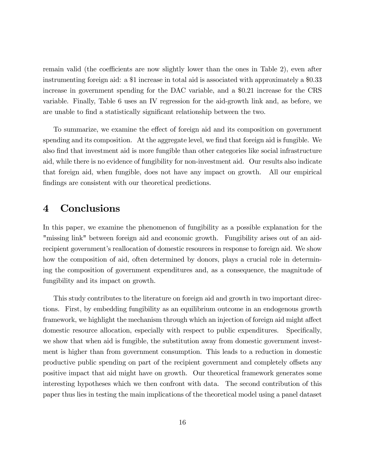remain valid (the coefficients are now slightly lower than the ones in Table 2), even after instrumenting foreign aid: a \$1 increase in total aid is associated with approximately a \$0.33 increase in government spending for the DAC variable, and a \$0.21 increase for the CRS variable. Finally, Table 6 uses an IV regression for the aid-growth link and, as before, we are unable to find a statistically significant relationship between the two.

To summarize, we examine the effect of foreign aid and its composition on government spending and its composition. At the aggregate level, we find that foreign aid is fungible. We also Önd that investment aid is more fungible than other categories like social infrastructure aid, while there is no evidence of fungibility for non-investment aid. Our results also indicate that foreign aid, when fungible, does not have any impact on growth. All our empirical findings are consistent with our theoretical predictions.

# 4 Conclusions

In this paper, we examine the phenomenon of fungibility as a possible explanation for the "missing link" between foreign aid and economic growth. Fungibility arises out of an aidrecipient government's reallocation of domestic resources in response to foreign aid. We show how the composition of aid, often determined by donors, plays a crucial role in determining the composition of government expenditures and, as a consequence, the magnitude of fungibility and its impact on growth.

This study contributes to the literature on foreign aid and growth in two important directions. First, by embedding fungibility as an equilibrium outcome in an endogenous growth framework, we highlight the mechanism through which an injection of foreign aid might affect domestic resource allocation, especially with respect to public expenditures. Specifically, we show that when aid is fungible, the substitution away from domestic government investment is higher than from government consumption. This leads to a reduction in domestic productive public spending on part of the recipient government and completely offsets any positive impact that aid might have on growth. Our theoretical framework generates some interesting hypotheses which we then confront with data. The second contribution of this paper thus lies in testing the main implications of the theoretical model using a panel dataset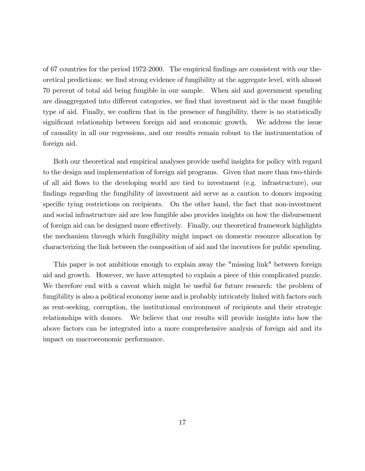of 67 countries for the period 1972-2000. The empirical Öndings are consistent with our theoretical predictions: we find strong evidence of fungibility at the aggregate level, with almost 70 percent of total aid being fungible in our sample. When aid and government spending are disaggregated into different categories, we find that investment aid is the most fungible type of aid. Finally, we confirm that in the presence of fungibility, there is no statistically significant relationship between foreign aid and economic growth. We address the issue of causality in all our regressions, and our results remain robust to the instrumentation of foreign aid.

Both our theoretical and empirical analyses provide useful insights for policy with regard to the design and implementation of foreign aid programs. Given that more than two-thirds of all aid flows to the developing world are tied to investment (e.g. infrastructure), our findings regarding the fungibility of investment aid serve as a caution to donors imposing specific tying restrictions on recipients. On the other hand, the fact that non-investment and social infrastructure aid are less fungible also provides insights on how the disbursement of foreign aid can be designed more effectively. Finally, our theoretical framework highlights the mechanism through which fungibility might impact on domestic resource allocation by characterizing the link between the composition of aid and the incentives for public spending.

This paper is not ambitious enough to explain away the "missing link" between foreign aid and growth. However, we have attempted to explain a piece of this complicated puzzle. We therefore end with a caveat which might be useful for future research: the problem of fungibility is also a political economy issue and is probably intricately linked with factors such as rent-seeking, corruption, the institutional environment of recipients and their strategic relationships with donors. We believe that our results will provide insights into how the above factors can be integrated into a more comprehensive analysis of foreign aid and its impact on macroeconomic performance.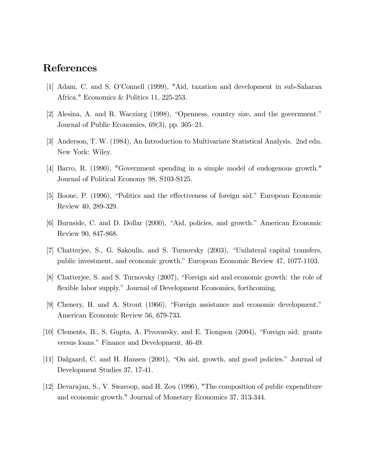## References

- [1] Adam, C. and S. OíConnell (1999), "Aid, taxation and development in sub-Saharan Africa." Economics & Politics 11, 225-253.
- $[2]$  Alesina, A. and R. Wacziarg  $(1998)$ , "Openness, country size, and the government." Journal of Public Economics,  $69(3)$ , pp.  $305-21$ .
- [3] Anderson, T. W. (1984), An Introduction to Multivariate Statistical Analysis. 2nd edn. New York: Wiley.
- [4] Barro, R. (1990), "Government spending in a simple model of endogenous growth." Journal of Political Economy 98, S103-S125.
- [5] Boone, P. (1996), "Politics and the effectiveness of foreign aid." European Economic Review 40, 289-329.
- [6] Burnside, C. and D. Dollar (2000), "Aid, policies, and growth." American Economic Review 90, 847-868.
- [7] Chatterjee, S., G. Sakoulis, and S. Turnovsky (2003), "Unilateral capital transfers, public investment, and economic growth." European Economic Review 47, 1077-1103.
- [8] Chatterjee, S. and S. Turnovsky (2007), "Foreign aid and economic growth: the role of flexible labor supply." Journal of Development Economics, forthcoming.
- $[9]$  Chenery, H. and A. Strout  $(1966)$ , "Foreign assistance and economic development." American Economic Review 56, 679-733.
- [10] Clements, B., S. Gupta, A. Pivovarsky, and E. Tiongson (2004), "Foreign aid: grants versus loans." Finance and Development, 46-49.
- [11] Dalgaard, C. and H. Hansen (2001), "On aid, growth, and good policies." Journal of Development Studies 37, 17-41.
- [12] Devarajan, S., V. Swaroop, and H. Zou (1996), "The composition of public expenditure and economic growth." Journal of Monetary Economics 37, 313-344.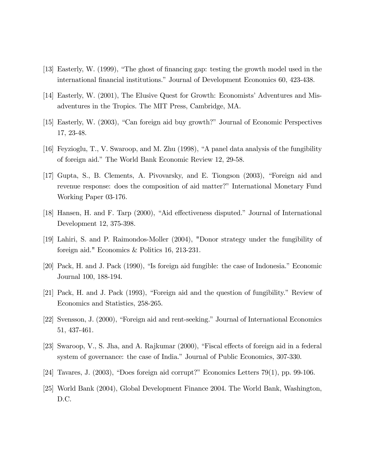- $[13]$  Easterly, W. (1999), "The ghost of financing gap: testing the growth model used in the international financial institutions." Journal of Development Economics 60, 423-438.
- [14] Easterly, W. (2001), The Elusive Quest for Growth: Economists' Adventures and Misadventures in the Tropics. The MIT Press, Cambridge, MA.
- [15] Easterly, W. (2003), "Can foreign aid buy growth?" Journal of Economic Perspectives 17, 23-48.
- [16] Feyzioglu, T., V. Swaroop, and M. Zhu  $(1998)$ , "A panel data analysis of the fungibility of foreign aid." The World Bank Economic Review 12, 29-58.
- [17] Gupta, S., B. Clements, A. Pivovarsky, and E. Tiongson (2003), "Foreign aid and revenue response: does the composition of aid matter?" International Monetary Fund Working Paper 03-176.
- [18] Hansen, H. and F. Tarp (2000), "Aid effectiveness disputed." Journal of International Development 12, 375-398.
- [19] Lahiri, S. and P. Raimondos-Moller (2004), "Donor strategy under the fungibility of foreign aid." Economics & Politics 16, 213-231.
- $[20]$  Pack, H. and J. Pack  $(1990)$ , "Is foreign aid fungible: the case of Indonesia." Economic Journal 100, 188-194.
- [21] Pack, H. and J. Pack (1993), "Foreign aid and the question of fungibility." Review of Economics and Statistics, 258-265.
- [22] Svensson, J. (2000), "Foreign aid and rent-seeking." Journal of International Economics 51, 437-461.
- [23] Swaroop, V., S. Jha, and A. Rajkumar  $(2000)$ , "Fiscal effects of foreign aid in a federal system of governance: the case of India." Journal of Public Economics, 307-330.
- [24] Tavares, J.  $(2003)$ , "Does foreign aid corrupt?" Economics Letters 79(1), pp. 99-106.
- [25] World Bank (2004), Global Development Finance 2004. The World Bank, Washington, D.C.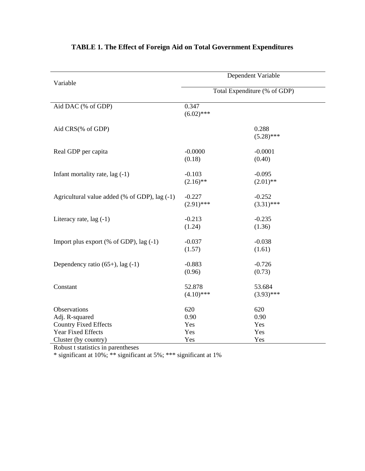| Variable                                                                                                     | Dependent Variable<br>Total Expenditure (% of GDP) |                                  |  |
|--------------------------------------------------------------------------------------------------------------|----------------------------------------------------|----------------------------------|--|
|                                                                                                              |                                                    |                                  |  |
| Aid DAC (% of GDP)                                                                                           | 0.347<br>$(6.02)$ ***                              |                                  |  |
| Aid CRS(% of GDP)                                                                                            |                                                    | 0.288<br>$(5.28)$ ***            |  |
| Real GDP per capita                                                                                          | $-0.0000$<br>(0.18)                                | $-0.0001$<br>(0.40)              |  |
| Infant mortality rate, lag (-1)                                                                              | $-0.103$<br>$(2.16)$ **                            | $-0.095$<br>$(2.01)$ **          |  |
| Agricultural value added (% of GDP), lag (-1)                                                                | $-0.227$<br>$(2.91)$ ***                           | $-0.252$<br>$(3.31)$ ***         |  |
| Literacy rate, $lag(-1)$                                                                                     | $-0.213$<br>(1.24)                                 | $-0.235$<br>(1.36)               |  |
| Import plus export (% of GDP), lag $(-1)$                                                                    | $-0.037$<br>(1.57)                                 | $-0.038$<br>(1.61)               |  |
| Dependency ratio $(65+)$ , lag $(-1)$                                                                        | $-0.883$<br>(0.96)                                 | $-0.726$<br>(0.73)               |  |
| Constant                                                                                                     | 52.878<br>$(4.10)$ ***                             | 53.684<br>$(3.93)$ ***           |  |
| Observations<br>Adj. R-squared<br><b>Country Fixed Effects</b><br>Year Fixed Effects<br>Cluster (by country) | 620<br>0.90<br>Yes<br>Yes<br>Yes                   | 620<br>0.90<br>Yes<br>Yes<br>Yes |  |

# **TABLE 1. The Effect of Foreign Aid on Total Government Expenditures**

Robust t statistics in parentheses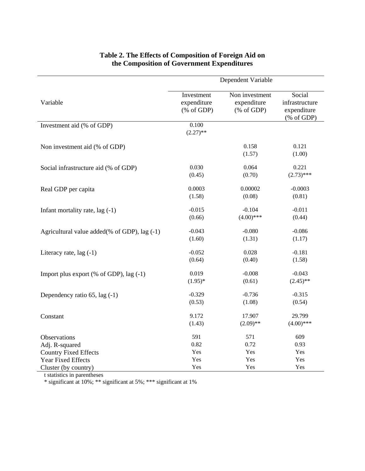|                                                | Dependent Variable                                                    |                                                                  |                                                                                                  |
|------------------------------------------------|-----------------------------------------------------------------------|------------------------------------------------------------------|--------------------------------------------------------------------------------------------------|
| Variable                                       | Investment<br>expenditure<br>$(% \mathcal{L}_{0}^{\infty}$ (% of GDP) | Non investment<br>expenditure<br>$(% \mathcal{L}_{0}$ (% of GDP) | Social<br>infrastructure<br>expenditure<br>$(% \mathcal{L}_{0} \cap \mathcal{L}_{1})$ (% of GDP) |
| Investment aid (% of GDP)                      | 0.100<br>$(2.27)$ **                                                  |                                                                  |                                                                                                  |
| Non investment aid (% of GDP)                  |                                                                       | 0.158<br>(1.57)                                                  | 0.121<br>(1.00)                                                                                  |
| Social infrastructure aid (% of GDP)           | 0.030                                                                 | 0.064                                                            | 0.221                                                                                            |
|                                                | (0.45)                                                                | (0.70)                                                           | $(2.73)$ ***                                                                                     |
| Real GDP per capita                            | 0.0003                                                                | 0.00002                                                          | $-0.0003$                                                                                        |
|                                                | (1.58)                                                                | (0.08)                                                           | (0.81)                                                                                           |
| Infant mortality rate, lag (-1)                | $-0.015$                                                              | $-0.104$                                                         | $-0.011$                                                                                         |
|                                                | (0.66)                                                                | $(4.00)$ ***                                                     | (0.44)                                                                                           |
| Agricultural value added(% of GDP), lag $(-1)$ | $-0.043$                                                              | $-0.080$                                                         | $-0.086$                                                                                         |
|                                                | (1.60)                                                                | (1.31)                                                           | (1.17)                                                                                           |
| Literacy rate, $lag(-1)$                       | $-0.052$                                                              | 0.028                                                            | $-0.181$                                                                                         |
|                                                | (0.64)                                                                | (0.40)                                                           | (1.58)                                                                                           |
| Import plus export $(\%$ of GDP), lag $(-1)$   | 0.019                                                                 | $-0.008$                                                         | $-0.043$                                                                                         |
|                                                | $(1.95)^*$                                                            | (0.61)                                                           | $(2.45)$ **                                                                                      |
| Dependency ratio 65, lag (-1)                  | $-0.329$                                                              | $-0.736$                                                         | $-0.315$                                                                                         |
|                                                | (0.53)                                                                | (1.08)                                                           | (0.54)                                                                                           |
| Constant                                       | 9.172                                                                 | 17.907                                                           | 29.799                                                                                           |
|                                                | (1.43)                                                                | $(2.09)$ **                                                      | $(4.00)$ ***                                                                                     |
| Observations                                   | 591                                                                   | 571                                                              | 609                                                                                              |
| Adj. R-squared                                 | 0.82                                                                  | 0.72                                                             | 0.93                                                                                             |
| <b>Country Fixed Effects</b>                   | Yes                                                                   | Yes                                                              | Yes                                                                                              |
| Year Fixed Effects                             | Yes                                                                   | Yes                                                              | Yes                                                                                              |
| Cluster (by country)                           | Yes                                                                   | Yes                                                              | Yes                                                                                              |

### **Table 2. The Effects of Composition of Foreign Aid on the Composition of Government Expenditures**

t statistics in parentheses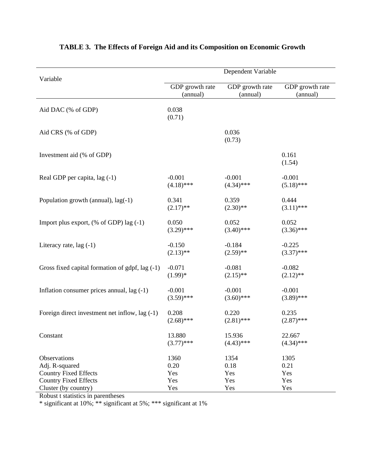| Variable                                         | Dependent Variable |                 |                 |  |
|--------------------------------------------------|--------------------|-----------------|-----------------|--|
|                                                  | GDP growth rate    | GDP growth rate | GDP growth rate |  |
|                                                  | (annual)           | (annual)        | (annual)        |  |
| Aid DAC (% of GDP)                               | 0.038<br>(0.71)    |                 |                 |  |
| Aid CRS (% of GDP)                               |                    | 0.036<br>(0.73) |                 |  |
| Investment aid (% of GDP)                        |                    |                 | 0.161<br>(1.54) |  |
| Real GDP per capita, lag (-1)                    | $-0.001$           | $-0.001$        | $-0.001$        |  |
|                                                  | $(4.18)$ ***       | $(4.34)$ ***    | $(5.18)$ ***    |  |
| Population growth (annual), lag(-1)              | 0.341              | 0.359           | 0.444           |  |
|                                                  | $(2.17)$ **        | $(2.30)$ **     | $(3.11)$ ***    |  |
| Import plus export, $(\%$ of GDP) lag $(-1)$     | 0.050              | 0.052           | 0.052           |  |
|                                                  | $(3.29)$ ***       | $(3.40)$ ***    | $(3.36)$ ***    |  |
| Literacy rate, $lag(-1)$                         | $-0.150$           | $-0.184$        | $-0.225$        |  |
|                                                  | $(2.13)$ **        | $(2.59)$ **     | $(3.37)$ ***    |  |
| Gross fixed capital formation of gdpf, lag (-1)  | $-0.071$           | $-0.081$        | $-0.082$        |  |
|                                                  | $(1.99)*$          | $(2.15)$ **     | $(2.12)$ **     |  |
| Inflation consumer prices annual, lag (-1)       | $-0.001$           | $-0.001$        | $-0.001$        |  |
|                                                  | $(3.59)$ ***       | $(3.60)$ ***    | $(3.89)$ ***    |  |
| Foreign direct investment net inflow, lag $(-1)$ | 0.208              | 0.220           | 0.235           |  |
|                                                  | $(2.68)$ ***       | $(2.81)$ ***    | $(2.87)$ ***    |  |
| Constant                                         | 13.880             | 15.936          | 22.667          |  |
|                                                  | $(3.77)$ ***       | $(4.43)$ ***    | $(4.34)$ ***    |  |
| Observations                                     | 1360               | 1354            | 1305            |  |
| Adj. R-squared                                   | 0.20               | 0.18            | 0.21            |  |
| <b>Country Fixed Effects</b>                     | Yes                | Yes             | Yes             |  |
| <b>Country Fixed Effects</b>                     | Yes                | Yes             | Yes             |  |
| Cluster (by country)                             | Yes                | Yes             | Yes             |  |

# **TABLE 3. The Effects of Foreign Aid and its Composition on Economic Growth**

Robust t statistics in parentheses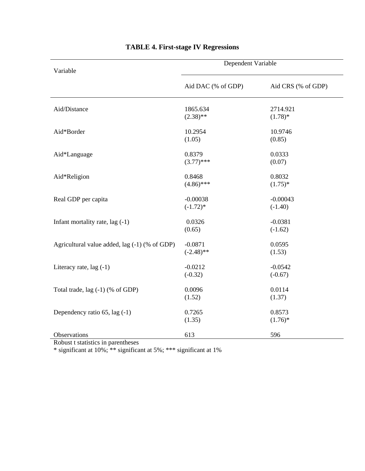| Variable                                      | Dependent Variable        |                         |
|-----------------------------------------------|---------------------------|-------------------------|
|                                               | Aid DAC (% of GDP)        | Aid CRS (% of GDP)      |
| Aid/Distance                                  | 1865.634<br>$(2.38)$ **   | 2714.921<br>$(1.78)$ *  |
| Aid*Border                                    | 10.2954<br>(1.05)         | 10.9746<br>(0.85)       |
| Aid*Language                                  | 0.8379<br>$(3.77)$ ***    | 0.0333<br>(0.07)        |
| Aid*Religion                                  | 0.8468<br>$(4.86)$ ***    | 0.8032<br>$(1.75)^*$    |
| Real GDP per capita                           | $-0.00038$<br>$(-1.72)$ * | $-0.00043$<br>$(-1.40)$ |
| Infant mortality rate, $lag(-1)$              | 0.0326<br>(0.65)          | $-0.0381$<br>$(-1.62)$  |
| Agricultural value added, lag (-1) (% of GDP) | $-0.0871$<br>$(-2.48)$ ** | 0.0595<br>(1.53)        |
| Literacy rate, $lag(-1)$                      | $-0.0212$<br>$(-0.32)$    | $-0.0542$<br>$(-0.67)$  |
| Total trade, $lag(-1)$ (% of GDP)             | 0.0096<br>(1.52)          | 0.0114<br>(1.37)        |
| Dependency ratio 65, lag (-1)                 | 0.7265<br>(1.35)          | 0.8573<br>$(1.76)^*$    |
| Observations                                  | 613                       | 596                     |

# **TABLE 4. First-stage IV Regressions**

Robust t statistics in parentheses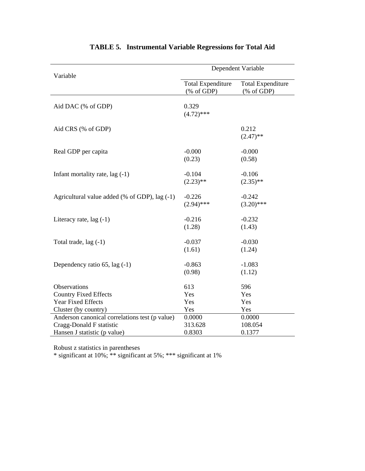|                                                                                                            | Dependent Variable                                                   |                                                                                   |  |
|------------------------------------------------------------------------------------------------------------|----------------------------------------------------------------------|-----------------------------------------------------------------------------------|--|
| Variable                                                                                                   | <b>Total Expenditure</b><br>$(% \mathcal{L}_{0}^{\infty}$ (% of GDP) | <b>Total Expenditure</b><br>$(% \mathcal{L}_{0} \cap \mathcal{L}_{1})$ (% of GDP) |  |
| Aid DAC (% of GDP)                                                                                         | 0.329<br>$(4.72)$ ***                                                |                                                                                   |  |
| Aid CRS (% of GDP)                                                                                         |                                                                      | 0.212<br>$(2.47)$ **                                                              |  |
| Real GDP per capita                                                                                        | $-0.000$<br>(0.23)                                                   | $-0.000$<br>(0.58)                                                                |  |
| Infant mortality rate, $lag(-1)$                                                                           | $-0.104$<br>$(2.23)$ **                                              | $-0.106$<br>$(2.35)$ **                                                           |  |
| Agricultural value added (% of GDP), lag (-1)                                                              | $-0.226$<br>$(2.94)$ ***                                             | $-0.242$<br>$(3.20)$ ***                                                          |  |
| Literacy rate, $lag(-1)$                                                                                   | $-0.216$<br>(1.28)                                                   | $-0.232$<br>(1.43)                                                                |  |
| Total trade, lag (-1)                                                                                      | $-0.037$<br>(1.61)                                                   | $-0.030$<br>(1.24)                                                                |  |
| Dependency ratio $65$ , lag $(-1)$                                                                         | $-0.863$<br>(0.98)                                                   | $-1.083$<br>(1.12)                                                                |  |
| Observations<br><b>Country Fixed Effects</b><br><b>Year Fixed Effects</b><br>Cluster (by country)          | 613<br>Yes<br>Yes<br>Yes                                             | 596<br>Yes<br>Yes<br>Yes                                                          |  |
| Anderson canonical correlations test (p value)<br>Cragg-Donald F statistic<br>Hansen J statistic (p value) | 0.0000<br>313.628<br>0.8303                                          | 0.0000<br>108.054<br>0.1377                                                       |  |

# **TABLE 5. Instrumental Variable Regressions for Total Aid**

Robust z statistics in parentheses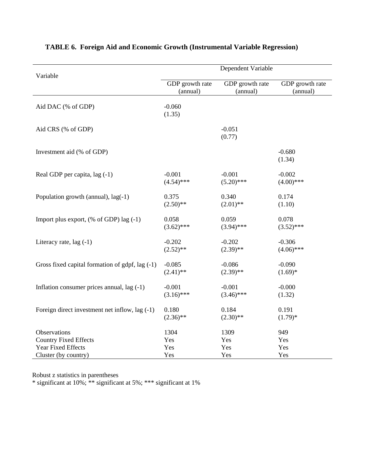| Variable                                        | Dependent Variable |                    |                    |  |
|-------------------------------------------------|--------------------|--------------------|--------------------|--|
|                                                 | GDP growth rate    | GDP growth rate    | GDP growth rate    |  |
|                                                 | (annual)           | (annual)           | (annual)           |  |
| Aid DAC (% of GDP)                              | $-0.060$<br>(1.35) |                    |                    |  |
| Aid CRS (% of GDP)                              |                    | $-0.051$<br>(0.77) |                    |  |
| Investment aid (% of GDP)                       |                    |                    | $-0.680$<br>(1.34) |  |
| Real GDP per capita, lag (-1)                   | $-0.001$           | $-0.001$           | $-0.002$           |  |
|                                                 | $(4.54)$ ***       | $(5.20)$ ***       | $(4.00)$ ***       |  |
| Population growth (annual), lag(-1)             | 0.375              | 0.340              | 0.174              |  |
|                                                 | $(2.50)$ **        | $(2.01)$ **        | (1.10)             |  |
| Import plus export, $(\%$ of GDP) lag $(-1)$    | 0.058              | 0.059              | 0.078              |  |
|                                                 | $(3.62)$ ***       | $(3.94)$ ***       | $(3.52)$ ***       |  |
| Literacy rate, lag (-1)                         | $-0.202$           | $-0.202$           | $-0.306$           |  |
|                                                 | $(2.52)$ **        | $(2.39)$ **        | $(4.06)$ ***       |  |
| Gross fixed capital formation of gdpf, lag (-1) | $-0.085$           | $-0.086$           | $-0.090$           |  |
|                                                 | $(2.41)$ **        | $(2.39)$ **        | $(1.69)*$          |  |
| Inflation consumer prices annual, $lag(-1)$     | $-0.001$           | $-0.001$           | $-0.000$           |  |
|                                                 | $(3.16)$ ***       | $(3.46)$ ***       | (1.32)             |  |
| Foreign direct investment net inflow, lag (-1)  | 0.180              | 0.184              | 0.191              |  |
|                                                 | $(2.36)$ **        | $(2.30)$ **        | $(1.79)*$          |  |
| Observations                                    | 1304               | 1309               | 949                |  |
| <b>Country Fixed Effects</b>                    | Yes                | Yes                | Yes                |  |
| Year Fixed Effects                              | Yes                | Yes                | Yes                |  |
| Cluster (by country)                            | Yes                | Yes                | Yes                |  |

### **TABLE 6. Foreign Aid and Economic Growth (Instrumental Variable Regression)**

Robust z statistics in parentheses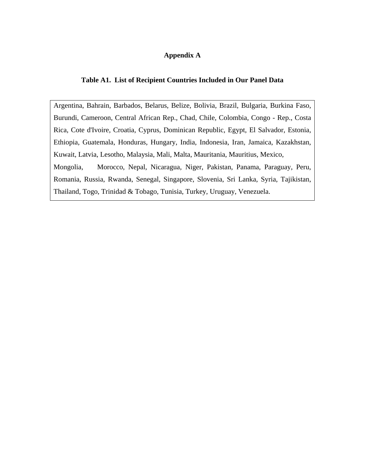### **Appendix A**

### **Table A1. List of Recipient Countries Included in Our Panel Data**

Argentina, Bahrain, Barbados, Belarus, Belize, Bolivia, Brazil, Bulgaria, Burkina Faso, Burundi, Cameroon, Central African Rep., Chad, Chile, Colombia, Congo - Rep., Costa Rica, Cote d'Ivoire, Croatia, Cyprus, Dominican Republic, Egypt, El Salvador, Estonia, Ethiopia, Guatemala, Honduras, Hungary, India, Indonesia, Iran, Jamaica, Kazakhstan, Kuwait, Latvia, Lesotho, Malaysia, Mali, Malta, Mauritania, Mauritius, Mexico, Mongolia, Morocco, Nepal, Nicaragua, Niger, Pakistan, Panama, Paraguay, Peru, Romania, Russia, Rwanda, Senegal, Singapore, Slovenia, Sri Lanka, Syria, Tajikistan, Thailand, Togo, Trinidad & Tobago, Tunisia, Turkey, Uruguay, Venezuela.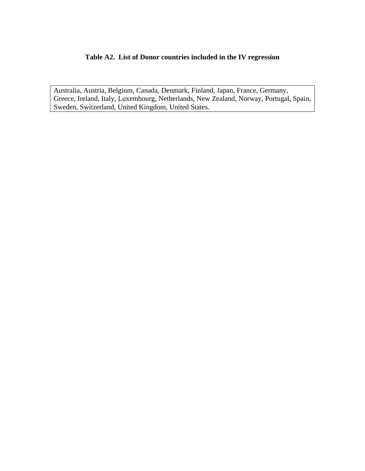### **Table A2. List of Donor countries included in the IV regression**

Australia, Austria, Belgium, Canada, Denmark, Finland, Japan, France, Germany, Greece, Ireland, Italy, Luxembourg, Netherlands, New Zealand, Norway, Portugal, Spain, Sweden, Switzerland, United Kingdom, United States.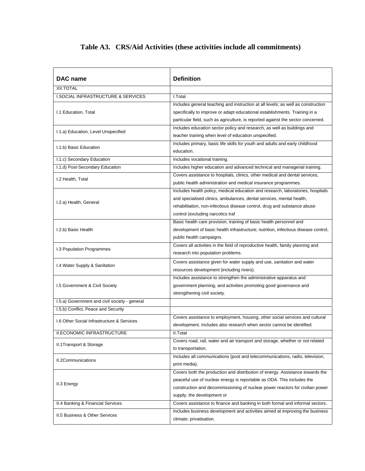# **Table A3. CRS/Aid Activities (these activities include all commitments)**

| DAC name                                      | Definition                                                                         |
|-----------------------------------------------|------------------------------------------------------------------------------------|
| XII.TOTAL                                     |                                                                                    |
| I.SOCIAL INFRASTRUCTURE & SERVICES            | I.Total                                                                            |
|                                               | Includes general teaching and instruction at all levels; as well as construction   |
| I.1 Education, Total                          | specifically to improve or adapt educational establishments. Training in a         |
|                                               | particular field, such as agriculture, is reported against the sector concerned.   |
| I.1.a) Education, Level Unspecified           | Includes education sector policy and research, as well as buildings and            |
|                                               | teacher training when level of education unspecified.                              |
| I.1.b) Basic Education                        | Includes primary, basic life skills for youth and adults and early childhood       |
|                                               | education.                                                                         |
| I.1.c) Secondary Education                    | Includes vocational training.                                                      |
| I.1.d) Post-Secondary Education               | Includes higher education and advanced technical and managerial training.          |
| I.2 Health, Total                             | Covers assistance to hospitals, clinics, other medical and dental services,        |
|                                               | public health administration and medical insurance programmes.                     |
|                                               | Includes health policy, medical education and research, laboratories, hospitals    |
| I.2.a) Health, General                        | and specialised clinics, ambulances, dental services, mental health,               |
|                                               | rehabilitation, non-infectious disease control, drug and substance abuse           |
|                                               | control (excluding narcotics traf                                                  |
|                                               | Basic health care provision, training of basic health personnel and                |
| I.2.b) Basic Health                           | development of basic health infrastructure; nutrition, infectious disease control, |
|                                               | public health campaigns.                                                           |
| I.3 Population Programmes                     | Covers all activities in the field of reproductive health, family planning and     |
|                                               | research into population problems.                                                 |
| I.4 Water Supply & Sanitation                 | Covers assistance given for water supply and use, sanitation and water             |
|                                               | resources development (including rivers).                                          |
|                                               | Includes assistance to strengthen the administrative apparatus and                 |
| 1.5 Government & Civil Society                | government planning, and activities promoting good governance and                  |
|                                               | strengthening civil society.                                                       |
| 1.5.a) Government and civil society - general |                                                                                    |
| I.5.b) Conflict, Peace and Security           |                                                                                    |
| 1.6 Other Social Infrastructure & Services    | Covers assistance to employment, housing, other social services and cultural       |
|                                               | development. Includes also research when sector cannot be identified.              |
| <b>II.ECONOMIC INFRASTRUCTURE</b>             | II.Total                                                                           |
|                                               | Covers road, rail, water and air transport and storage, whether or not related     |
| II.1Transport & Storage                       | to transportation.                                                                 |
|                                               | Includes all communications (post and telecommunications, radio, television,       |
| II.2Communications                            | print media).                                                                      |
|                                               | Covers both the production and distribution of energy. Assistance towards the      |
| II.3 Energy                                   | peaceful use of nuclear energy is reportable as ODA. This includes the             |
|                                               | construction and decommissioning of nuclear power reactors for civilian power      |
|                                               | supply, the development or                                                         |
| II.4 Banking & Financial Services             | Covers assistance to finance and banking in both formal and informal sectors.      |
|                                               | Includes business development and activities aimed at improving the business       |
| II.5 Business & Other Services                | climate; privatisation.                                                            |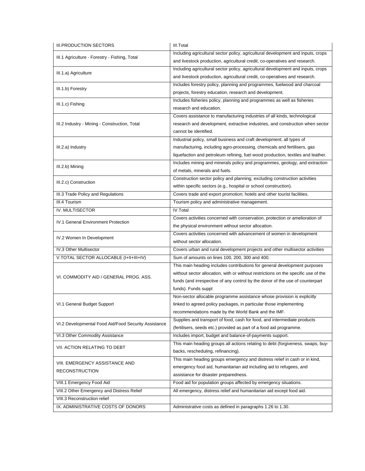| <b>III.PRODUCTION SECTORS</b>                        | III.Total                                                                          |
|------------------------------------------------------|------------------------------------------------------------------------------------|
|                                                      | Including agricultural sector policy, agricultural development and inputs, crops   |
| III.1 Agriculture - Forestry - Fishing, Total        | and livestock production, agricultural credit, co-operatives and research.         |
|                                                      | Including agricultural sector policy, agricultural development and inputs, crops   |
| III.1.a) Agriculture                                 | and livestock production, agricultural credit, co-operatives and research.         |
|                                                      | Includes forestry policy, planning and programmes, fuelwood and charcoal           |
| III.1.b) Forestry                                    | projects, forestry education, research and development.                            |
|                                                      | Includes fisheries policy, planning and programmes as well as fisheries            |
| III.1.c) Fishing                                     | research and education.                                                            |
|                                                      |                                                                                    |
|                                                      | Covers assistance to manufacturing industries of all kinds, technological          |
| III.2 Industry - Mining - Construction, Total        | research and development, extractive industries, and construction when sector      |
|                                                      | cannot be identified.                                                              |
|                                                      | Industrial policy, small business and craft development; all types of              |
| III.2.a) Industry                                    | manufacturing, including agro-processing, chemicals and fertilisers, gas           |
|                                                      | liquefaction and petroleum refining, fuel wood production, textiles and leather.   |
| III.2.b) Mining                                      | Includes mining and minerals policy and programmes, geology, and extraction        |
|                                                      | of metals, minerals and fuels.                                                     |
|                                                      | Construction sector policy and planning; excluding construction activities         |
| III.2.c) Construction                                | within specific sectors (e.g., hospital or school construction).                   |
| III.3 Trade Policy and Regulations                   | Covers trade and export promotion; hotels and other tourist facilities.            |
| III.4 Tourism                                        | Tourism policy and administrative management.                                      |
| IV. MULTISECTOR                                      | IV.Total                                                                           |
|                                                      | Covers activities concerned with conservation, protection or amelioration of       |
| IV.1 General Environment Protection                  | the physical environment without sector allocation.                                |
|                                                      | Covers activities concerned with advancement of women in development               |
| IV.2 Women In Development                            | without sector allocation.                                                         |
| IV.3 Other Multisector                               | Covers urban and rural development projects and other multisector activities       |
| V.TOTAL SECTOR ALLOCABLE (I+II+III+IV)               | Sum of amounts on lines 100, 200, 300 and 400.                                     |
|                                                      |                                                                                    |
|                                                      | This main heading includes contributions for general development purposes          |
| VI. COMMODITY AID / GENERAL PROG. ASS.               | without sector allocation, with or without restrictions on the specific use of the |
|                                                      | funds (and irrespective of any control by the donor of the use of counterpart      |
|                                                      | funds). Funds suppl                                                                |
|                                                      | Non-sector allocable programme assistance whose provision is explicitly            |
| VI.1 General Budget Support                          | linked to agreed policy packages, in particular those implementing                 |
|                                                      | recommendations made by the World Bank and the IMF.                                |
| VI.2 Developmental Food Aid/Food Security Assistance | Supplies and transport of food, cash for food, and intermediate products           |
|                                                      | (fertilisers, seeds etc.) provided as part of a food aid programme.                |
| VI.3 Other Commodity Assistance                      | Includes import, budget and balance-of-payments support.                           |
| VII. ACTION RELATING TO DEBT                         | This main heading groups all actions relating to debt (forgiveness, swaps, buy-    |
|                                                      | backs, rescheduling, refinancing).                                                 |
|                                                      | This main heading groups emergency and distress relief in cash or in kind,         |
| VIII. EMERGENCY ASSISTANCE AND                       | emergency food aid, humanitarian aid including aid to refugees, and                |
| RECONSTRUCTION                                       | assistance for disaster preparedness.                                              |
| VIII.1 Emergency Food Aid                            | Food aid for population groups affected by emergency situations.                   |
| VIII.2 Other Emergency and Distress Relief           | All emergency, distress relief and humanitarian aid except food aid.               |
| VIII.3 Reconstruction relief                         |                                                                                    |
| IX. ADMINISTRATIVE COSTS OF DONORS                   |                                                                                    |
|                                                      | Administrative costs as defined in paragraphs 1.26 to 1.30.                        |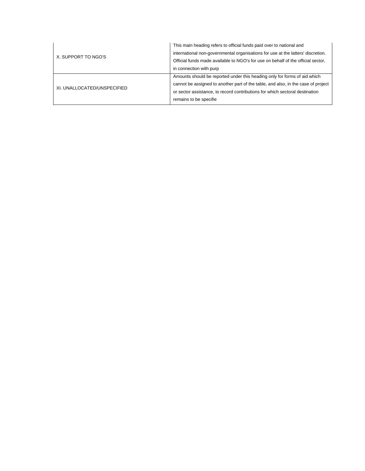|                             | This main heading refers to official funds paid over to national and              |
|-----------------------------|-----------------------------------------------------------------------------------|
|                             | international non-governmental organisations for use at the latters' discretion.  |
| X. SUPPORT TO NGO'S         | Official funds made available to NGO's for use on behalf of the official sector,  |
|                             | in connection with purp                                                           |
|                             | Amounts should be reported under this heading only for forms of aid which         |
| XI. UNALLOCATED/UNSPECIFIED | cannot be assigned to another part of the table, and also, in the case of project |
|                             | or sector assistance, to record contributions for which sectoral destination      |
|                             | remains to be specifie                                                            |
|                             |                                                                                   |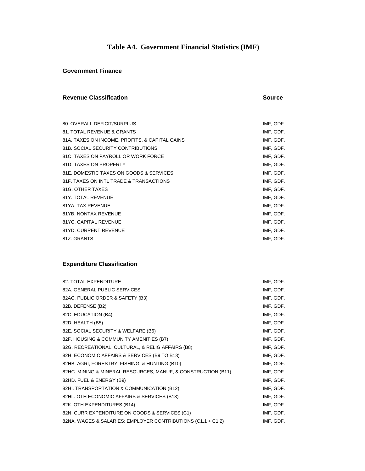### **Table A4. Government Financial Statistics (IMF)**

### **Government Finance**

### **Revenue Classification**

**Source**

| IMF, GDF  |
|-----------|
| IMF, GDF. |
| IMF, GDF. |
| IMF, GDF. |
| IMF, GDF. |
| IMF, GDF. |
| IMF, GDF. |
| IMF, GDF. |
| IMF, GDF. |
| IMF, GDF. |
| IMF, GDF. |
| IMF, GDF. |
| IMF, GDF. |
| IMF, GDF. |
| IMF, GDF. |
|           |

### **Expenditure Classification**

| 82. TOTAL EXPENDITURE                                         | IMF, GDF. |
|---------------------------------------------------------------|-----------|
| 82A, GENERAL PUBLIC SERVICES                                  | IMF, GDF. |
| 82AC. PUBLIC ORDER & SAFETY (B3)                              | IMF, GDF. |
| 82B. DEFENSE (B2)                                             | IMF, GDF. |
| 82C. EDUCATION (B4)                                           | IMF, GDF. |
| 82D. HEALTH (B5)                                              | IMF, GDF. |
| 82E. SOCIAL SECURITY & WELFARE (B6)                           | IMF, GDF. |
| 82F. HOUSING & COMMUNITY AMENITIES (B7)                       | IMF, GDF. |
| 82G. RECREATIONAL, CULTURAL, & RELIG AFFAIRS (B8)             | IMF, GDF. |
| 82H. ECONOMIC AFFAIRS & SERVICES (B9 TO B13)                  | IMF, GDF. |
| 82HB. AGRI, FORESTRY, FISHING, & HUNTING (B10)                | IMF, GDF. |
| 82HC. MINING & MINERAL RESOURCES, MANUF, & CONSTRUCTION (B11) | IMF, GDF. |
| 82HD. FUEL & ENERGY (B9)                                      | IMF, GDF. |
| 82HI. TRANSPORTATION & COMMUNICATION (B12)                    | IMF, GDF. |
| 82HL. OTH ECONOMIC AFFAIRS & SERVICES (B13)                   | IMF, GDF. |
| 82K. OTH EXPENDITURES (B14)                                   | IMF, GDF. |
| 82N. CURR EXPENDITURE ON GOODS & SERVICES (C1)                | IMF, GDF. |
| 82NA. WAGES & SALARIES; EMPLOYER CONTRIBUTIONS (C1.1 + C1.2)  | IMF, GDF. |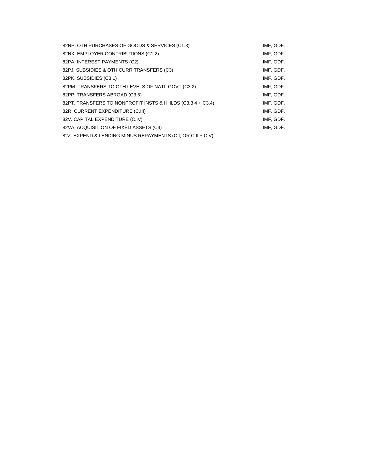| 82NP. OTH PURCHASES OF GOODS & SERVICES (C1.3)              | IMF, GDF. |
|-------------------------------------------------------------|-----------|
| 82NX. EMPLOYER CONTRIBUTIONS (C1.2)                         | IMF, GDF. |
| 82PA. INTEREST PAYMENTS (C2)                                | IMF, GDF. |
| 82PJ. SUBSIDIES & OTH CURR TRANSFERS (C3)                   | IMF, GDF. |
| 82PK. SUBSIDIES (C3.1)                                      | IMF, GDF. |
| 82PM. TRANSFERS TO OTH LEVELS OF NATL GOVT (C3.2)           | IMF, GDF. |
| 82PP. TRANSFERS ABROAD (C3.5)                               | IMF, GDF. |
| 82PT. TRANSFERS TO NONPROFIT INSTS & HHLDS (C3.3 4 + C3.4)  | IMF, GDF. |
| 82R. CURRENT EXPENDITURE (C.III)                            | IMF, GDF. |
| 82V. CAPITAL EXPENDITURE (C.IV)                             | IMF, GDF. |
| 82VA. ACQUISITION OF FIXED ASSETS (C4)                      | IMF, GDF. |
| 82Z. EXPEND & LENDING MINUS REPAYMENTS (C.I. OR C.II + C.V) |           |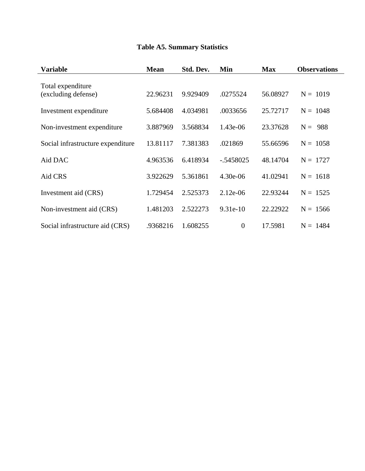# **Table A5. Summary Statistics**

| Variable                                 | <b>Mean</b> | Std. Dev. | Min            | <b>Max</b> | <b>Observations</b> |
|------------------------------------------|-------------|-----------|----------------|------------|---------------------|
| Total expenditure<br>(excluding defense) | 22.96231    | 9.929409  | .0275524       | 56.08927   | $N = 1019$          |
| Investment expenditure                   | 5.684408    | 4.034981  | .0033656       | 25.72717   | $N = 1048$          |
| Non-investment expenditure               | 3.887969    | 3.568834  | 1.43e-06       | 23.37628   | $N = 988$           |
| Social infrastructure expenditure        | 13.81117    | 7.381383  | .021869        | 55.66596   | $N = 1058$          |
| Aid DAC                                  | 4.963536    | 6.418934  | $-.5458025$    | 48.14704   | $N = 1727$          |
| Aid CRS                                  | 3.922629    | 5.361861  | $4.30e-06$     | 41.02941   | $N = 1618$          |
| Investment aid (CRS)                     | 1.729454    | 2.525373  | $2.12e-06$     | 22.93244   | $N = 1525$          |
| Non-investment aid (CRS)                 | 1.481203    | 2.522273  | $9.31e-10$     | 22.22922   | $N = 1566$          |
| Social infrastructure aid (CRS)          | .9368216    | 1.608255  | $\overline{0}$ | 17.5981    | $N = 1484$          |